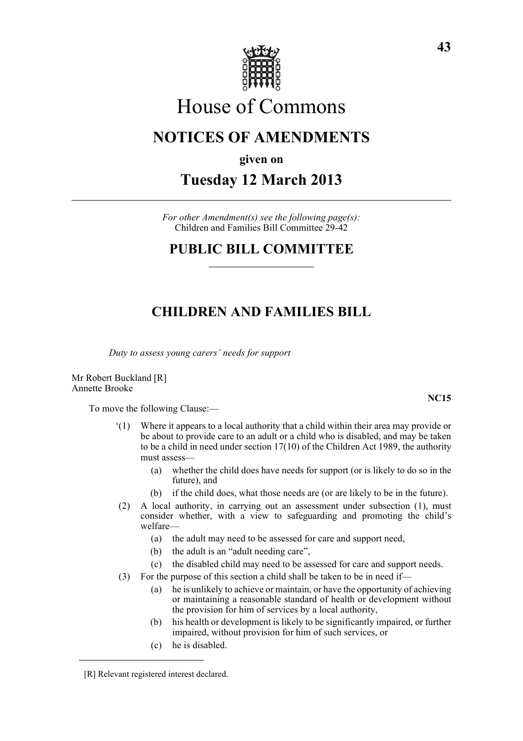

# House of Commons

# **NOTICES OF AMENDMENTS**

**given on**

## **Tuesday 12 March 2013**

*For other Amendment(s) see the following page(s):* Children and Families Bill Committee 29-42

#### **PUBLIC BILL COMMITTEE**

### **CHILDREN AND FAMILIES BILL**

*Duty to assess young carers' needs for support*

Mr Robert Buckland [R] Annette Brooke

To move the following Clause:—

- '(1) Where it appears to a local authority that a child within their area may provide or be about to provide care to an adult or a child who is disabled, and may be taken to be a child in need under section 17(10) of the Children Act 1989, the authority must assess—
	- (a) whether the child does have needs for support (or is likely to do so in the future), and
	- (b) if the child does, what those needs are (or are likely to be in the future).
- (2) A local authority, in carrying out an assessment under subsection (1), must consider whether, with a view to safeguarding and promoting the child's welfare—
	- (a) the adult may need to be assessed for care and support need,
	- (b) the adult is an "adult needing care",
	- (c) the disabled child may need to be assessed for care and support needs.
- (3) For the purpose of this section a child shall be taken to be in need if—
	- (a) he is unlikely to achieve or maintain, or have the opportunity of achieving or maintaining a reasonable standard of health or development without the provision for him of services by a local authority,
	- (b) his health or development is likely to be significantly impaired, or further impaired, without provision for him of such services, or
	- (c) he is disabled.

**NC15**

<sup>[</sup>R] Relevant registered interest declared.